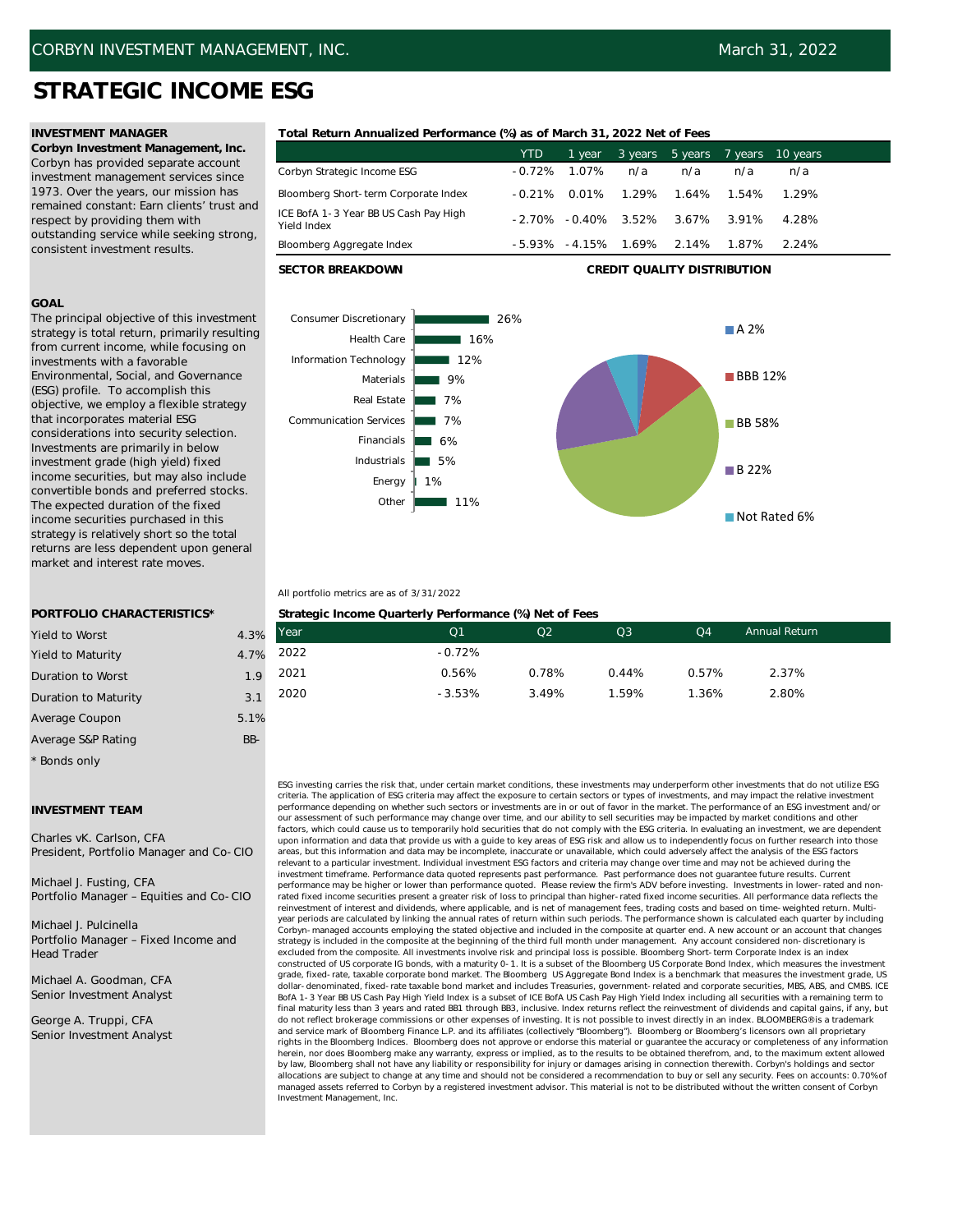# **STRATEGIC INCOME ESG**

**Corbyn Investment Management, Inc.** Corbyn has provided separate account investment management services since 1973. Over the years, our mission has remained constant: Earn clients' trust and respect by providing them with outstanding service while seeking strong, consistent investment results.

## **GOAL**

The principal objective of this investment strategy is total return, primarily resulting from current income, while focusing on investments with a favorable Environmental, Social, and Governance (ESG) profile. To accomplish this objective, we employ a flexible strategy that incorporates material ESG considerations into security selection. Investments are primarily in below investment grade (high yield) fixed income securities, but may also include convertible bonds and preferred stocks. The expected duration of the fixed income securities purchased in this strategy is relatively short so the total returns are less dependent upon general market and interest rate moves.

## **INVESTMENT MANAGER Total Return Annualized Performance (%) as of March 31, 2022 Net of Fees**

|                                                      | <b>YTD</b> | 1 year          | 3 years | 5 years | 7 vears | 10 vears |
|------------------------------------------------------|------------|-----------------|---------|---------|---------|----------|
| Corbyn Strategic Income ESG                          | $-0.72%$   | 1.07%           | n/a     | n/a     | n/a     | n/a      |
| Bloomberg Short-term Corporate Index                 | $-0.21\%$  | 0.01%           | 1.29%   | 1.64%   | 1.54%   | 1.29%    |
| ICE BofA 1-3 Year BB US Cash Pay High<br>Yield Index | $-2.70%$   | $-0.40\%$ 3.52% |         | 3.67%   | 3.91%   | 4.28%    |
| Bloomberg Aggregate Index                            | -5.93%     | $-4.15%$        | 1.69%   | 2.14%   | 1.87%   | 2.24%    |

**SECTOR BREAKDOWN CREDIT QUALITY DISTRIBUTION**



## All portfolio metrics are as of 3/31/2022

|     | Strategic Income Quarterly Performance (%) Net of Fees |                |                |                |                |                      |  |  |  |  |
|-----|--------------------------------------------------------|----------------|----------------|----------------|----------------|----------------------|--|--|--|--|
| 3%  | Year                                                   | Q <sub>1</sub> | O <sub>2</sub> | Q <sub>3</sub> | Q <sub>4</sub> | <b>Annual Return</b> |  |  |  |  |
| 7%  | 2022                                                   | $-0.72%$       |                |                |                |                      |  |  |  |  |
| .9  | 2021                                                   | 0.56%          | 0.78%          | 0.44%          | 0.57%          | 2.37%                |  |  |  |  |
| 3.1 | 2020                                                   | $-3.53%$       | 3.49%          | 1.59%          | 1.36%          | 2.80%                |  |  |  |  |

ESG investing carries the risk that, under certain market conditions, these investments may underperform other investments that do not utilize ESG criteria. The application of ESG criteria may affect the exposure to certain sectors or types of investments, and may impact the relative investment performance depending on whether such sectors or investments are in or out of favor in the market. The performance of an ESG investment and/or our assessment of such performance may change over time, and our ability to sell securities may be impacted by market conditions and other factors, which could cause us to temporarily hold securities that do not comply with the ESG criteria. In evaluating an investment, we are dependent upon information and data that provide us with a guide to key areas of ESG risk and allow us to independently focus on further research into those areas, but this information and data may be incomplete, inaccurate or unavailable, which could adversely affect the analysis of the ESG factors relevant to a particular investment. Individual investment ESG factors and criteria may change over time and may not be achieved during the investment timeframe. Performance data quoted represents past performance. Past performance does not guarantee future results. Current performance may be higher or lower than performance quoted. Please review the firm's ADV before investing. Investments in lower-rated and nonrated fixed income securities present a greater risk of loss to principal than higher-rated fixed income securities. All performance data reflects the reinvestment of interest and dividends, where applicable, and is net of management fees, trading costs and based on time-weighted return. Multiyear periods are calculated by linking the annual rates of return within such periods. The performance shown is calculated each quarter by including Corbyn-managed accounts employing the stated objective and included in the composite at quarter end. A new account or an account that changes strategy is included in the composite at the beginning of the third full month under management. Any account considered non-discretionary is excluded from the composite. All investments involve risk and principal loss is possible. Bloomberg Short-term Corporate Index is an index constructed of US corporate IG bonds, with a maturity 0-1. It is a subset of the Bloomberg US Corporate Bond Index, which measures the investment grade, fixed-rate, taxable corporate bond market. The Bloomberg US Aggregate Bond Index is a benchmark that measures the investment grade, US dollar-denominated, fixed-rate taxable bond market and includes Treasuries, government-related and corporate securities, MBS, ABS, and CMBS. ICE BofA 1-3 Year BB US Cash Pay High Yield Index is a subset of ICE BofA US Cash Pay High Yield Index including all securities with a remaining term to final maturity less than 3 years and rated BB1 through BB3, inclusive. Index returns reflect the reinvestment of dividends and capital gains, if any, but do not reflect brokerage commissions or other expenses of investing. It is not possible to invest directly in an index. BLOOMBERG® is a trademark<br>and service mark of Bloomberg Finance L.P. and its affiliates (collectively rights in the Bloomberg Indices. Bloomberg does not approve or endorse this material or guarantee the accuracy or completeness of any information herein, nor does Bloomberg make any warranty, express or implied, as to the results to be obtained therefrom, and, to the maximum extent allowed<br>by law, Bloomberg shall not have any liability or responsibility for injury o allocations are subject to change at any time and should not be considered a recommendation to buy or sell any security. Fees on accounts: 0.70% of managed assets referred to Corbyn by a registered investment advisor. This material is not to be distributed without the written consent of Corbyn Investment Management, Inc.

# **PORTFOLIO CHARACTERISTICS\***

| <b>Yield to Worst</b>    | 4.3%   | Year          |
|--------------------------|--------|---------------|
| <b>Yield to Maturity</b> | 4.7%   | 2022          |
| Duration to Worst        | 1.9    | $202^{\circ}$ |
| Duration to Maturity     | 3.1    | 2020          |
| Average Coupon           | 5.1%   |               |
| Average S&P Rating       | $BB -$ |               |
| * Bonds only             |        |               |

## **INVESTMENT TEAM**

Charles vK. Carlson, CFA President, Portfolio Manager and Co-CIO

Michael J. Fusting, CFA Portfolio Manager – Equities and Co-CIO

Michael J. Pulcinella Portfolio Manager – Fixed Income and Head Trader

Michael A. Goodman, CFA Senior Investment Analyst

George A. Truppi, CFA Senior Investment Analyst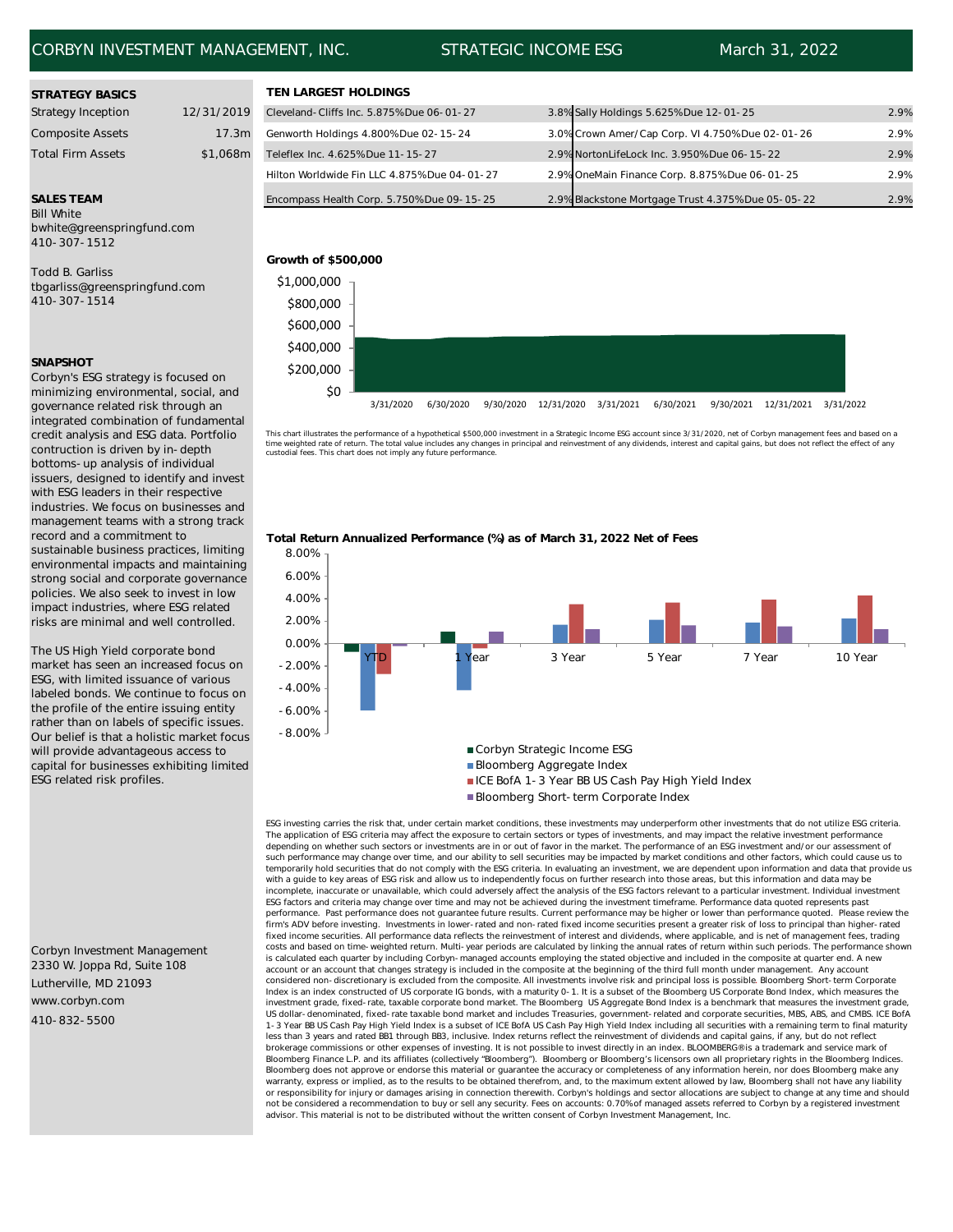## CORBYN INVESTMENT MANAGEMENT, INC. STRATEGIC INCOME ESG March 31, 2022

| <b>STRATEGY BASICS</b>    |            | <b>TEN LARGEST HOLDINGS</b>    |
|---------------------------|------------|--------------------------------|
| <b>Strategy Inception</b> | 12/31/2019 | Cleveland-Cliffs Inc. 5.875% D |
| <b>Composite Assets</b>   | 17.3m      | Genworth Holdings 4.800% Dr    |
| <b>Total Firm Assets</b>  | \$1,068m   | Teleflex Inc. 4.625% Due 11-1  |

Bill White bwhite@greenspringfund.com 410-307-1512

Todd B. Garliss tbgarliss@greenspringfund.com 410-307-1514

## **SNAPSHOT**

Corbyn's ESG strategy is focused on minimizing environmental, social, and governance related risk through an integrated combination of fundamental credit analysis and ESG data. Portfolio contruction is driven by in-depth bottoms-up analysis of individual issuers, designed to identify and invest with ESG leaders in their respective industries. We focus on businesses and management teams with a strong track record and a commitment to sustainable business practices, limiting environmental impacts and maintaining strong social and corporate governance policies. We also seek to invest in low impact industries, where ESG related risks are minimal and well controlled.

The US High Yield corporate bond market has seen an increased focus on ESG, with limited issuance of various labeled bonds. We continue to focus on the profile of the entire issuing entity rather than on labels of specific issues. Our belief is that a holistic market focus will provide advantageous access to capital for businesses exhibiting limited ESG related risk profiles.

Lutherville, MD 21093 www.corbyn.com 410-832-5500 Corbyn Investment Management 2330 W. Joppa Rd, Suite 108

| <b>STRATEGY BASICS</b>    |            | TEN LARGEST HOLDINGS                         |                                                    |      |
|---------------------------|------------|----------------------------------------------|----------------------------------------------------|------|
| <b>Strategy Inception</b> | 12/31/2019 | Cleveland-Cliffs Inc. 5.875% Due 06-01-27    | 3.8% Sally Holdings 5.625% Due 12-01-25            | 2.9% |
| <b>Composite Assets</b>   | 17.3m      | Genworth Holdings 4.800% Due 02-15-24        | 3.0% Crown Amer/Cap Corp. VI 4.750% Due 02-01-26   | 2.9% |
| <b>Total Firm Assets</b>  | \$1,068m   | Teleflex Inc. 4.625% Due 11-15-27            | 2.9% NortonLifeLock Inc. 3.950% Due 06-15-22       | 2.9% |
|                           |            | Hilton Worldwide Fin LLC 4.875% Due 04-01-27 | 2.9% OneMain Finance Corp. 8.875% Due 06-01-25     | 2.9% |
| <b>SALES TEAM</b>         |            | Encompass Health Corp. 5.750% Due 09-15-25   | 2.9% Blackstone Mortgage Trust 4.375% Due 05-05-22 | 2.9% |
| Bill White                |            |                                              |                                                    |      |



This chart illustrates the performance of a hypothetical \$500,000 investment in a Strategic Income ESG account since 3/31/2020, net of Corbyn management fees and based on a<br>time weighted rate of return. The total value inc custodial fees. This chart does not imply any future performance.





ESG investing carries the risk that, under certain market conditions, these investments may underperform other investments that do not utilize ESG criteria. The application of ESG criteria may affect the exposure to certain sectors or types of investments, and may impact the relative investment performance depending on whether such sectors or investments are in or out of favor in the market. The performance of an ESG investment and/or our assessment of such performance may change over time, and our ability to sell securities may be impacted by market conditions and other factors, which could cause us to temporarily hold securities that do not comply with the ESG criteria. In evaluating an investment, we are dependent upon information and data that provide us with a guide to key areas of ESG risk and allow us to independently focus on further research into those areas, but this information and data may be incomplete, inaccurate or unavailable, which could adversely affect the analysis of the ESG factors relevant to a particular investment. Individual investment ESG factors and criteria may change over time and may not be achieved during the investment timeframe. Performance data quoted represents past performance. Past performance does not guarantee future results. Current performance may be higher or lower than performance quoted. Please review the<br>firm's ADV before investing. Investments in lower-rated and non-rated f fixed income securities. All performance data reflects the reinvestment of interest and dividends, where applicable, and is net of management fees, trading costs and based on time-weighted return. Multi-year periods are calculated by linking the annual rates of return within such periods. The performance shown is calculated each quarter by including Corbyn-managed accounts employing the stated objective and included in the composite at quarter end. A new account or an account that changes strategy is included in the composite at the beginning of the third full month under management. Any account considered non-discretionary is excluded from the composite. All investments involve risk and principal loss is possible. Bloomberg Short-term Corporate Index is an index constructed of US corporate IG bonds, with a maturity 0-1. It is a subset of the Bloomberg US Corporate Bond Index, which measures the<br>investment grade, fixed-rate, taxable corporate bond market. The Bloo US dollar-denominated, fixed-rate taxable bond market and includes Treasuries, government-related and corporate securities, MBS, ABS, and CMBS. ICE BofA 1-3 Year BB US Cash Pay High Yield Index is a subset of ICE BofA US Cash Pay High Yield Index including all securities with a remaining term to final maturity less than 3 years and rated BB1 through BB3, inclusive. Index returns reflect the reinvestment of dividends and capital gains, if any, but do not reflect brokerage commissions or other expenses of investing. It is not possible to invest directly in an index. BLOOMBERG® is a trademark and service mark of Bloomberg Finance L.P. and its affiliates (collectively "Bloomberg"). Bloomberg or Bloomberg's licensors own all proprietary rights in the Bloomberg Indices. Bloomberg does not approve or endorse this material or guarantee the accuracy or completeness of any information herein, nor does Bloomberg make any warranty, express or implied, as to the results to be obtained therefrom, and, to the maximum extent allowed by law, Bloomberg shall not have any liability or responsibility for injury or damages arising in connection therewith. Corbyn's holdings and sector allocations are subject to change at any time and should not be considered a recommendation to buy or sell any security. Fees on accounts: 0.70% of managed assets referred to Corbyn by a registered investment advisor. This material is not to be distributed without the written consent of Corbyn Investment Management, Inc.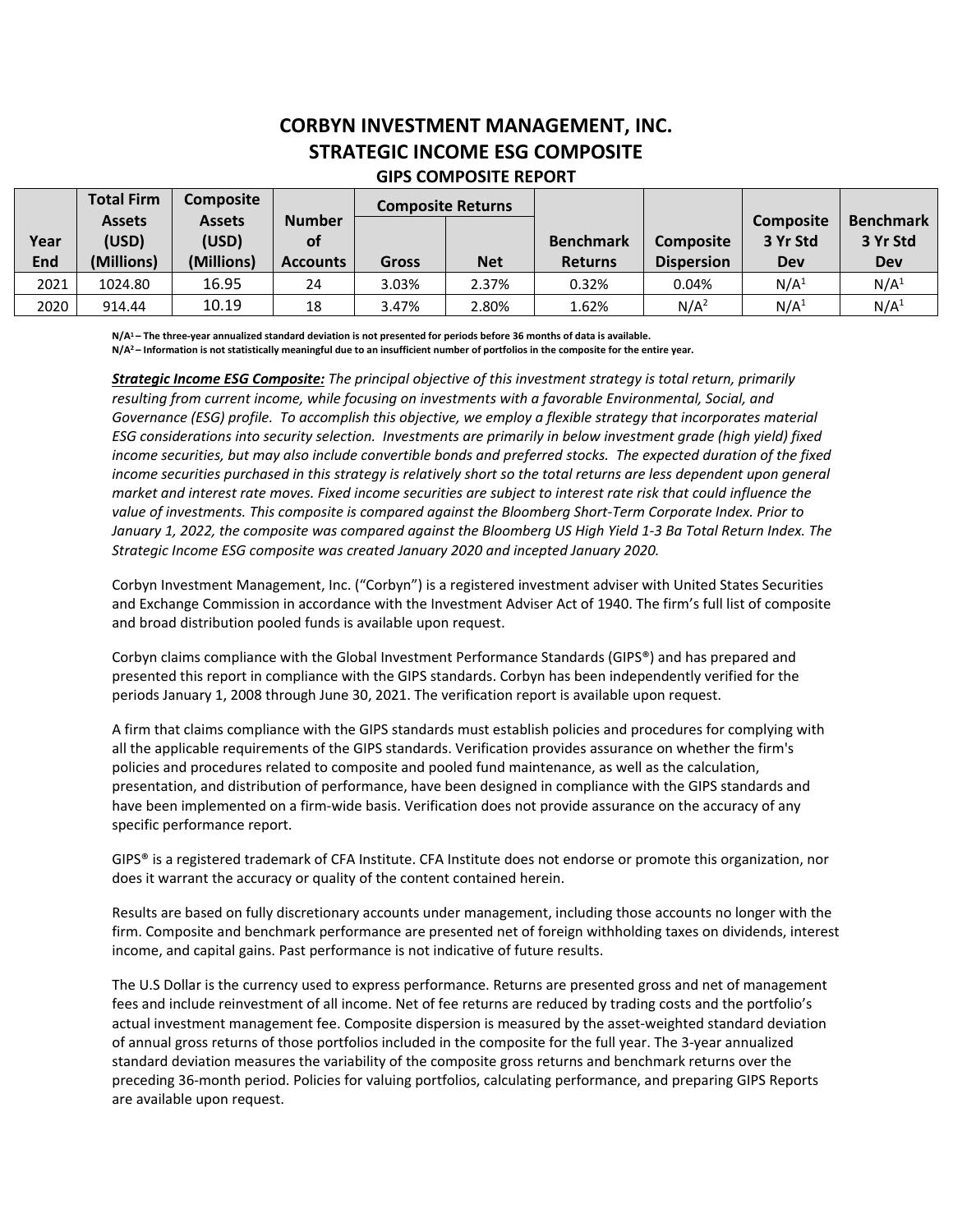# **CORBYN INVESTMENT MANAGEMENT, INC. STRATEGIC INCOME ESG COMPOSITE GIPS COMPOSITE REPORT**

|            | <b>Total Firm</b> | <b>Composite</b> |                 | <b>Composite Returns</b> |            |                  |                   |                  |                  |
|------------|-------------------|------------------|-----------------|--------------------------|------------|------------------|-------------------|------------------|------------------|
|            | <b>Assets</b>     | <b>Assets</b>    | <b>Number</b>   |                          |            |                  |                   | <b>Composite</b> | <b>Benchmark</b> |
| Year       | (USD)             | (USD)            | <b>of</b>       |                          |            | <b>Benchmark</b> | <b>Composite</b>  | 3 Yr Std         | 3 Yr Std         |
| <b>End</b> | (Millions)        | (Millions)       | <b>Accounts</b> | <b>Gross</b>             | <b>Net</b> | <b>Returns</b>   | <b>Dispersion</b> | <b>Dev</b>       | Dev              |
| 2021       | 1024.80           | 16.95            | 24              | 3.03%                    | 2.37%      | 0.32%            | 0.04%             | N/A <sup>1</sup> | N/A <sup>1</sup> |
| 2020       | 914.44            | 10.19            | 18              | 3.47%                    | 2.80%      | 1.62%            | N/A <sup>2</sup>  | N/A <sup>1</sup> | N/A <sup>1</sup> |

**N/A1 – The three-year annualized standard deviation is not presented for periods before 36 months of data is available.** 

**N/A2 – Information is not statistically meaningful due to an insufficient number of portfolios in the composite for the entire year.** 

*Strategic Income ESG Composite: The principal objective of this investment strategy is total return, primarily resulting from current income, while focusing on investments with a favorable Environmental, Social, and Governance (ESG) profile. To accomplish this objective, we employ a flexible strategy that incorporates material ESG considerations into security selection. Investments are primarily in below investment grade (high yield) fixed income securities, but may also include convertible bonds and preferred stocks. The expected duration of the fixed*  income securities purchased in this strategy is relatively short so the total returns are less dependent upon general *market and interest rate moves. Fixed income securities are subject to interest rate risk that could influence the value of investments. This composite is compared against the Bloomberg Short-Term Corporate Index. Prior to*  January 1, 2022, the composite was compared against the Bloomberg US High Yield 1-3 Ba Total Return Index. The *Strategic Income ESG composite was created January 2020 and incepted January 2020.* 

Corbyn Investment Management, Inc. ("Corbyn") is a registered investment adviser with United States Securities and Exchange Commission in accordance with the Investment Adviser Act of 1940. The firm's full list of composite and broad distribution pooled funds is available upon request.

Corbyn claims compliance with the Global Investment Performance Standards (GIPS®) and has prepared and presented this report in compliance with the GIPS standards. Corbyn has been independently verified for the periods January 1, 2008 through June 30, 2021. The verification report is available upon request.

A firm that claims compliance with the GIPS standards must establish policies and procedures for complying with all the applicable requirements of the GIPS standards. Verification provides assurance on whether the firm's policies and procedures related to composite and pooled fund maintenance, as well as the calculation, presentation, and distribution of performance, have been designed in compliance with the GIPS standards and have been implemented on a firm-wide basis. Verification does not provide assurance on the accuracy of any specific performance report.

GIPS® is a registered trademark of CFA Institute. CFA Institute does not endorse or promote this organization, nor does it warrant the accuracy or quality of the content contained herein.

Results are based on fully discretionary accounts under management, including those accounts no longer with the firm. Composite and benchmark performance are presented net of foreign withholding taxes on dividends, interest income, and capital gains. Past performance is not indicative of future results.

The U.S Dollar is the currency used to express performance. Returns are presented gross and net of management fees and include reinvestment of all income. Net of fee returns are reduced by trading costs and the portfolio's actual investment management fee. Composite dispersion is measured by the asset-weighted standard deviation of annual gross returns of those portfolios included in the composite for the full year. The 3-year annualized standard deviation measures the variability of the composite gross returns and benchmark returns over the preceding 36-month period. Policies for valuing portfolios, calculating performance, and preparing GIPS Reports are available upon request.